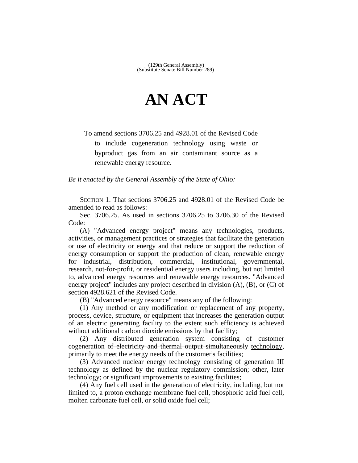## **AN ACT**

## To amend sections 3706.25 and 4928.01 of the Revised Code to include cogeneration technology using waste or byproduct gas from an air contaminant source as a renewable energy resource.

*Be it enacted by the General Assembly of the State of Ohio:*

SECTION 1. That sections 3706.25 and 4928.01 of the Revised Code be amended to read as follows:

Sec. 3706.25. As used in sections 3706.25 to 3706.30 of the Revised Code:

(A) "Advanced energy project" means any technologies, products, activities, or management practices or strategies that facilitate the generation or use of electricity or energy and that reduce or support the reduction of energy consumption or support the production of clean, renewable energy for industrial, distribution, commercial, institutional, governmental, research, not-for-profit, or residential energy users including, but not limited to, advanced energy resources and renewable energy resources. "Advanced energy project" includes any project described in division (A), (B), or (C) of section 4928.621 of the Revised Code.

(B) "Advanced energy resource" means any of the following:

(1) Any method or any modification or replacement of any property, process, device, structure, or equipment that increases the generation output of an electric generating facility to the extent such efficiency is achieved without additional carbon dioxide emissions by that facility;

(2) Any distributed generation system consisting of customer cogeneration of electricity and thermal output simultaneously technology, primarily to meet the energy needs of the customer's facilities;

(3) Advanced nuclear energy technology consisting of generation III technology as defined by the nuclear regulatory commission; other, later technology; or significant improvements to existing facilities;

(4) Any fuel cell used in the generation of electricity, including, but not limited to, a proton exchange membrane fuel cell, phosphoric acid fuel cell, molten carbonate fuel cell, or solid oxide fuel cell;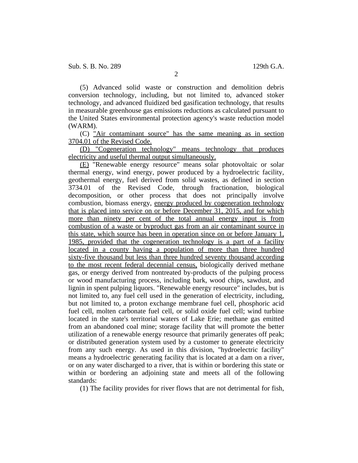(5) Advanced solid waste or construction and demolition debris conversion technology, including, but not limited to, advanced stoker technology, and advanced fluidized bed gasification technology, that results in measurable greenhouse gas emissions reductions as calculated pursuant to the United States environmental protection agency's waste reduction model (WARM).

(C) "Air contaminant source" has the same meaning as in section 3704.01 of the Revised Code.

(D) "Cogeneration technology" means technology that produces electricity and useful thermal output simultaneously.

(E) "Renewable energy resource" means solar photovoltaic or solar thermal energy, wind energy, power produced by a hydroelectric facility, geothermal energy, fuel derived from solid wastes, as defined in section 3734.01 of the Revised Code, through fractionation, biological decomposition, or other process that does not principally involve combustion, biomass energy, energy produced by cogeneration technology that is placed into service on or before December 31, 2015, and for which more than ninety per cent of the total annual energy input is from combustion of a waste or byproduct gas from an air contaminant source in this state, which source has been in operation since on or before January 1, 1985, provided that the cogeneration technology is a part of a facility located in a county having a population of more than three hundred sixty-five thousand but less than three hundred seventy thousand according to the most recent federal decennial census, biologically derived methane gas, or energy derived from nontreated by-products of the pulping process or wood manufacturing process, including bark, wood chips, sawdust, and lignin in spent pulping liquors. "Renewable energy resource" includes, but is not limited to, any fuel cell used in the generation of electricity, including, but not limited to, a proton exchange membrane fuel cell, phosphoric acid fuel cell, molten carbonate fuel cell, or solid oxide fuel cell; wind turbine located in the state's territorial waters of Lake Erie; methane gas emitted from an abandoned coal mine; storage facility that will promote the better utilization of a renewable energy resource that primarily generates off peak; or distributed generation system used by a customer to generate electricity from any such energy. As used in this division, "hydroelectric facility" means a hydroelectric generating facility that is located at a dam on a river, or on any water discharged to a river, that is within or bordering this state or within or bordering an adjoining state and meets all of the following standards:

(1) The facility provides for river flows that are not detrimental for fish,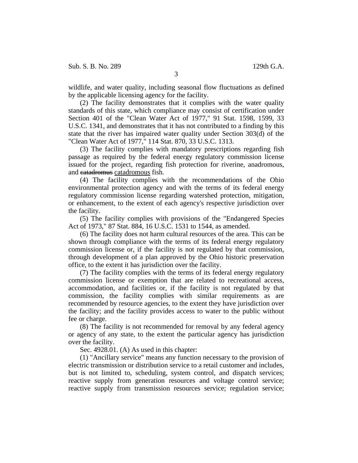wildlife, and water quality, including seasonal flow fluctuations as defined by the applicable licensing agency for the facility.

(2) The facility demonstrates that it complies with the water quality standards of this state, which compliance may consist of certification under Section 401 of the "Clean Water Act of 1977," 91 Stat. 1598, 1599, 33 U.S.C. 1341, and demonstrates that it has not contributed to a finding by this state that the river has impaired water quality under Section 303(d) of the "Clean Water Act of 1977," 114 Stat. 870, 33 U.S.C. 1313.

(3) The facility complies with mandatory prescriptions regarding fish passage as required by the federal energy regulatory commission license issued for the project, regarding fish protection for riverine, anadromous, and catadromus catadromous fish.

(4) The facility complies with the recommendations of the Ohio environmental protection agency and with the terms of its federal energy regulatory commission license regarding watershed protection, mitigation, or enhancement, to the extent of each agency's respective jurisdiction over the facility.

(5) The facility complies with provisions of the "Endangered Species Act of 1973," 87 Stat. 884, 16 U.S.C. 1531 to 1544, as amended.

(6) The facility does not harm cultural resources of the area. This can be shown through compliance with the terms of its federal energy regulatory commission license or, if the facility is not regulated by that commission, through development of a plan approved by the Ohio historic preservation office, to the extent it has jurisdiction over the facility.

(7) The facility complies with the terms of its federal energy regulatory commission license or exemption that are related to recreational access, accommodation, and facilities or, if the facility is not regulated by that commission, the facility complies with similar requirements as are recommended by resource agencies, to the extent they have jurisdiction over the facility; and the facility provides access to water to the public without fee or charge.

(8) The facility is not recommended for removal by any federal agency or agency of any state, to the extent the particular agency has jurisdiction over the facility.

Sec. 4928.01. (A) As used in this chapter:

(1) "Ancillary service" means any function necessary to the provision of electric transmission or distribution service to a retail customer and includes, but is not limited to, scheduling, system control, and dispatch services; reactive supply from generation resources and voltage control service; reactive supply from transmission resources service; regulation service;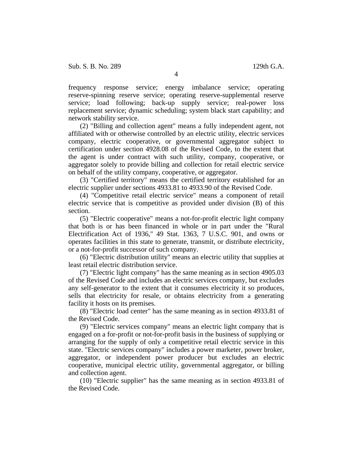frequency response service; energy imbalance service; operating reserve-spinning reserve service; operating reserve-supplemental reserve service; load following; back-up supply service; real-power loss replacement service; dynamic scheduling; system black start capability; and network stability service.

(2) "Billing and collection agent" means a fully independent agent, not affiliated with or otherwise controlled by an electric utility, electric services company, electric cooperative, or governmental aggregator subject to certification under section 4928.08 of the Revised Code, to the extent that the agent is under contract with such utility, company, cooperative, or aggregator solely to provide billing and collection for retail electric service on behalf of the utility company, cooperative, or aggregator.

(3) "Certified territory" means the certified territory established for an electric supplier under sections 4933.81 to 4933.90 of the Revised Code.

(4) "Competitive retail electric service" means a component of retail electric service that is competitive as provided under division (B) of this section.

(5) "Electric cooperative" means a not-for-profit electric light company that both is or has been financed in whole or in part under the "Rural Electrification Act of 1936," 49 Stat. 1363, 7 U.S.C. 901, and owns or operates facilities in this state to generate, transmit, or distribute electricity, or a not-for-profit successor of such company.

(6) "Electric distribution utility" means an electric utility that supplies at least retail electric distribution service.

(7) "Electric light company" has the same meaning as in section 4905.03 of the Revised Code and includes an electric services company, but excludes any self-generator to the extent that it consumes electricity it so produces, sells that electricity for resale, or obtains electricity from a generating facility it hosts on its premises.

(8) "Electric load center" has the same meaning as in section 4933.81 of the Revised Code.

(9) "Electric services company" means an electric light company that is engaged on a for-profit or not-for-profit basis in the business of supplying or arranging for the supply of only a competitive retail electric service in this state. "Electric services company" includes a power marketer, power broker, aggregator, or independent power producer but excludes an electric cooperative, municipal electric utility, governmental aggregator, or billing and collection agent.

(10) "Electric supplier" has the same meaning as in section 4933.81 of the Revised Code.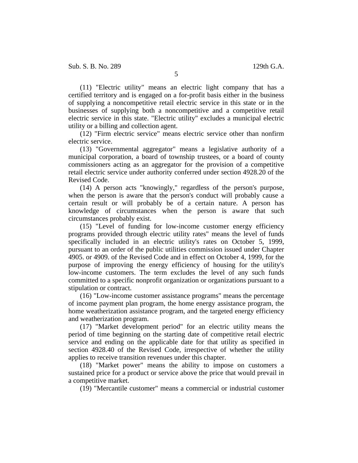(11) "Electric utility" means an electric light company that has a certified territory and is engaged on a for-profit basis either in the business of supplying a noncompetitive retail electric service in this state or in the businesses of supplying both a noncompetitive and a competitive retail electric service in this state. "Electric utility" excludes a municipal electric utility or a billing and collection agent.

(12) "Firm electric service" means electric service other than nonfirm electric service.

(13) "Governmental aggregator" means a legislative authority of a municipal corporation, a board of township trustees, or a board of county commissioners acting as an aggregator for the provision of a competitive retail electric service under authority conferred under section 4928.20 of the Revised Code.

(14) A person acts "knowingly," regardless of the person's purpose, when the person is aware that the person's conduct will probably cause a certain result or will probably be of a certain nature. A person has knowledge of circumstances when the person is aware that such circumstances probably exist.

(15) "Level of funding for low-income customer energy efficiency programs provided through electric utility rates" means the level of funds specifically included in an electric utility's rates on October 5, 1999, pursuant to an order of the public utilities commission issued under Chapter 4905. or 4909. of the Revised Code and in effect on October 4, 1999, for the purpose of improving the energy efficiency of housing for the utility's low-income customers. The term excludes the level of any such funds committed to a specific nonprofit organization or organizations pursuant to a stipulation or contract.

(16) "Low-income customer assistance programs" means the percentage of income payment plan program, the home energy assistance program, the home weatherization assistance program, and the targeted energy efficiency and weatherization program.

(17) "Market development period" for an electric utility means the period of time beginning on the starting date of competitive retail electric service and ending on the applicable date for that utility as specified in section 4928.40 of the Revised Code, irrespective of whether the utility applies to receive transition revenues under this chapter.

(18) "Market power" means the ability to impose on customers a sustained price for a product or service above the price that would prevail in a competitive market.

(19) "Mercantile customer" means a commercial or industrial customer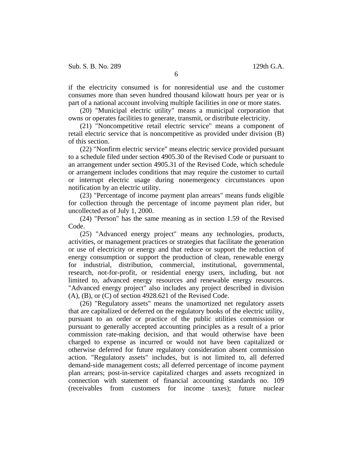if the electricity consumed is for nonresidential use and the customer consumes more than seven hundred thousand kilowatt hours per year or is part of a national account involving multiple facilities in one or more states.

(20) "Municipal electric utility" means a municipal corporation that owns or operates facilities to generate, transmit, or distribute electricity.

(21) "Noncompetitive retail electric service" means a component of retail electric service that is noncompetitive as provided under division (B) of this section.

(22) "Nonfirm electric service" means electric service provided pursuant to a schedule filed under section 4905.30 of the Revised Code or pursuant to an arrangement under section 4905.31 of the Revised Code, which schedule or arrangement includes conditions that may require the customer to curtail or interrupt electric usage during nonemergency circumstances upon notification by an electric utility.

(23) "Percentage of income payment plan arrears" means funds eligible for collection through the percentage of income payment plan rider, but uncollected as of July 1, 2000.

(24) "Person" has the same meaning as in section 1.59 of the Revised Code.

(25) "Advanced energy project" means any technologies, products, activities, or management practices or strategies that facilitate the generation or use of electricity or energy and that reduce or support the reduction of energy consumption or support the production of clean, renewable energy for industrial, distribution, commercial, institutional, governmental, research, not-for-profit, or residential energy users, including, but not limited to, advanced energy resources and renewable energy resources. "Advanced energy project" also includes any project described in division  $(A)$ ,  $(B)$ , or  $(C)$  of section 4928.621 of the Revised Code.

(26) "Regulatory assets" means the unamortized net regulatory assets that are capitalized or deferred on the regulatory books of the electric utility, pursuant to an order or practice of the public utilities commission or pursuant to generally accepted accounting principles as a result of a prior commission rate-making decision, and that would otherwise have been charged to expense as incurred or would not have been capitalized or otherwise deferred for future regulatory consideration absent commission action. "Regulatory assets" includes, but is not limited to, all deferred demand-side management costs; all deferred percentage of income payment plan arrears; post-in-service capitalized charges and assets recognized in connection with statement of financial accounting standards no. 109 (receivables from customers for income taxes); future nuclear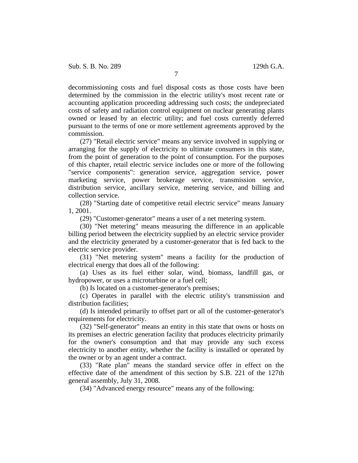decommissioning costs and fuel disposal costs as those costs have been determined by the commission in the electric utility's most recent rate or accounting application proceeding addressing such costs; the undepreciated costs of safety and radiation control equipment on nuclear generating plants owned or leased by an electric utility; and fuel costs currently deferred pursuant to the terms of one or more settlement agreements approved by the commission.

(27) "Retail electric service" means any service involved in supplying or arranging for the supply of electricity to ultimate consumers in this state, from the point of generation to the point of consumption. For the purposes of this chapter, retail electric service includes one or more of the following "service components": generation service, aggregation service, power marketing service, power brokerage service, transmission service, distribution service, ancillary service, metering service, and billing and collection service.

(28) "Starting date of competitive retail electric service" means January 1, 2001.

(29) "Customer-generator" means a user of a net metering system.

(30) "Net metering" means measuring the difference in an applicable billing period between the electricity supplied by an electric service provider and the electricity generated by a customer-generator that is fed back to the electric service provider.

(31) "Net metering system" means a facility for the production of electrical energy that does all of the following:

(a) Uses as its fuel either solar, wind, biomass, landfill gas, or hydropower, or uses a microturbine or a fuel cell;

(b) Is located on a customer-generator's premises;

(c) Operates in parallel with the electric utility's transmission and distribution facilities;

(d) Is intended primarily to offset part or all of the customer-generator's requirements for electricity.

(32) "Self-generator" means an entity in this state that owns or hosts on its premises an electric generation facility that produces electricity primarily for the owner's consumption and that may provide any such excess electricity to another entity, whether the facility is installed or operated by the owner or by an agent under a contract.

(33) "Rate plan" means the standard service offer in effect on the effective date of the amendment of this section by S.B. 221 of the 127th general assembly, July 31, 2008.

(34) "Advanced energy resource" means any of the following: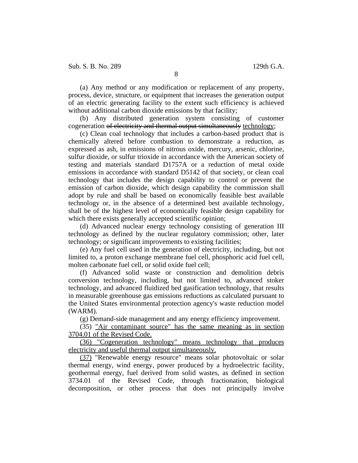(a) Any method or any modification or replacement of any property, process, device, structure, or equipment that increases the generation output of an electric generating facility to the extent such efficiency is achieved without additional carbon dioxide emissions by that facility;

(b) Any distributed generation system consisting of customer cogeneration of electricity and thermal output simultaneously technology;

(c) Clean coal technology that includes a carbon-based product that is chemically altered before combustion to demonstrate a reduction, as expressed as ash, in emissions of nitrous oxide, mercury, arsenic, chlorine, sulfur dioxide, or sulfur trioxide in accordance with the American society of testing and materials standard D1757A or a reduction of metal oxide emissions in accordance with standard D5142 of that society, or clean coal technology that includes the design capability to control or prevent the emission of carbon dioxide, which design capability the commission shall adopt by rule and shall be based on economically feasible best available technology or, in the absence of a determined best available technology, shall be of the highest level of economically feasible design capability for which there exists generally accepted scientific opinion;

(d) Advanced nuclear energy technology consisting of generation III technology as defined by the nuclear regulatory commission; other, later technology; or significant improvements to existing facilities;

(e) Any fuel cell used in the generation of electricity, including, but not limited to, a proton exchange membrane fuel cell, phosphoric acid fuel cell, molten carbonate fuel cell, or solid oxide fuel cell;

(f) Advanced solid waste or construction and demolition debris conversion technology, including, but not limited to, advanced stoker technology, and advanced fluidized bed gasification technology, that results in measurable greenhouse gas emissions reductions as calculated pursuant to the United States environmental protection agency's waste reduction model (WARM).

(g) Demand-side management and any energy efficiency improvement.

(35) "Air contaminant source" has the same meaning as in section 3704.01 of the Revised Code.

(36) "Cogeneration technology" means technology that produces electricity and useful thermal output simultaneously.

(37) "Renewable energy resource" means solar photovoltaic or solar thermal energy, wind energy, power produced by a hydroelectric facility, geothermal energy, fuel derived from solid wastes, as defined in section 3734.01 of the Revised Code, through fractionation, biological decomposition, or other process that does not principally involve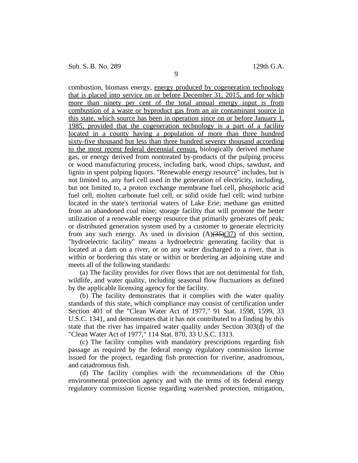combustion, biomass energy, energy produced by cogeneration technology that is placed into service on or before December 31, 2015, and for which more than ninety per cent of the total annual energy input is from combustion of a waste or byproduct gas from an air contaminant source in this state, which source has been in operation since on or before January 1, 1985, provided that the cogeneration technology is a part of a facility located in a county having a population of more than three hundred sixty-five thousand but less than three hundred seventy thousand according to the most recent federal decennial census, biologically derived methane gas, or energy derived from nontreated by-products of the pulping process or wood manufacturing process, including bark, wood chips, sawdust, and lignin in spent pulping liquors. "Renewable energy resource" includes, but is not limited to, any fuel cell used in the generation of electricity, including, but not limited to, a proton exchange membrane fuel cell, phosphoric acid fuel cell, molten carbonate fuel cell, or solid oxide fuel cell; wind turbine located in the state's territorial waters of Lake Erie; methane gas emitted from an abandoned coal mine; storage facility that will promote the better utilization of a renewable energy resource that primarily generates off peak; or distributed generation system used by a customer to generate electricity from any such energy. As used in division  $(A)(35)(37)$  of this section, "hydroelectric facility" means a hydroelectric generating facility that is located at a dam on a river, or on any water discharged to a river, that is within or bordering this state or within or bordering an adjoining state and meets all of the following standards:

(a) The facility provides for river flows that are not detrimental for fish, wildlife, and water quality, including seasonal flow fluctuations as defined by the applicable licensing agency for the facility.

(b) The facility demonstrates that it complies with the water quality standards of this state, which compliance may consist of certification under Section 401 of the "Clean Water Act of 1977," 91 Stat. 1598, 1599, 33 U.S.C. 1341, and demonstrates that it has not contributed to a finding by this state that the river has impaired water quality under Section 303(d) of the "Clean Water Act of 1977," 114 Stat. 870, 33 U.S.C. 1313.

(c) The facility complies with mandatory prescriptions regarding fish passage as required by the federal energy regulatory commission license issued for the project, regarding fish protection for riverine, anadromous, and catadromous fish.

(d) The facility complies with the recommendations of the Ohio environmental protection agency and with the terms of its federal energy regulatory commission license regarding watershed protection, mitigation,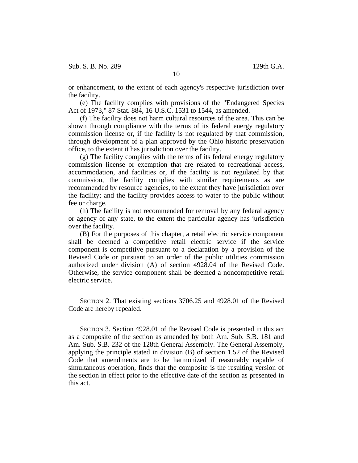Sub. S. B. No. 289 129th G.A.

or enhancement, to the extent of each agency's respective jurisdiction over the facility.

(e) The facility complies with provisions of the "Endangered Species Act of 1973," 87 Stat. 884, 16 U.S.C. 1531 to 1544, as amended.

(f) The facility does not harm cultural resources of the area. This can be shown through compliance with the terms of its federal energy regulatory commission license or, if the facility is not regulated by that commission, through development of a plan approved by the Ohio historic preservation office, to the extent it has jurisdiction over the facility.

(g) The facility complies with the terms of its federal energy regulatory commission license or exemption that are related to recreational access, accommodation, and facilities or, if the facility is not regulated by that commission, the facility complies with similar requirements as are recommended by resource agencies, to the extent they have jurisdiction over the facility; and the facility provides access to water to the public without fee or charge.

(h) The facility is not recommended for removal by any federal agency or agency of any state, to the extent the particular agency has jurisdiction over the facility.

(B) For the purposes of this chapter, a retail electric service component shall be deemed a competitive retail electric service if the service component is competitive pursuant to a declaration by a provision of the Revised Code or pursuant to an order of the public utilities commission authorized under division (A) of section 4928.04 of the Revised Code. Otherwise, the service component shall be deemed a noncompetitive retail electric service.

SECTION 2. That existing sections 3706.25 and 4928.01 of the Revised Code are hereby repealed.

SECTION 3. Section 4928.01 of the Revised Code is presented in this act as a composite of the section as amended by both Am. Sub. S.B. 181 and Am. Sub. S.B. 232 of the 128th General Assembly. The General Assembly, applying the principle stated in division (B) of section 1.52 of the Revised Code that amendments are to be harmonized if reasonably capable of simultaneous operation, finds that the composite is the resulting version of the section in effect prior to the effective date of the section as presented in this act.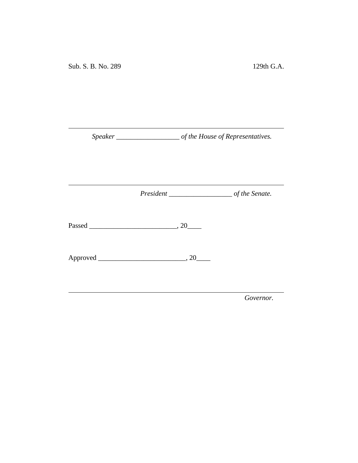*Speaker \_\_\_\_\_\_\_\_\_\_\_\_\_\_\_\_\_\_ of the House of Representatives.*

<u> 1980 - Johann Barn, mars an t-Amerikaansk kommunister (</u>

*President \_\_\_\_\_\_\_\_\_\_\_\_\_\_\_\_\_\_ of the Senate.*

<u> 1989 - Johann Barbara, martxa a</u>

Passed \_\_\_\_\_\_\_\_\_\_\_\_\_\_\_\_\_\_\_\_\_\_\_\_\_, 20\_\_\_\_

Approved \_\_\_\_\_\_\_\_\_\_\_\_\_\_\_\_\_\_\_\_\_\_\_\_\_, 20\_\_\_\_

*Governor.*